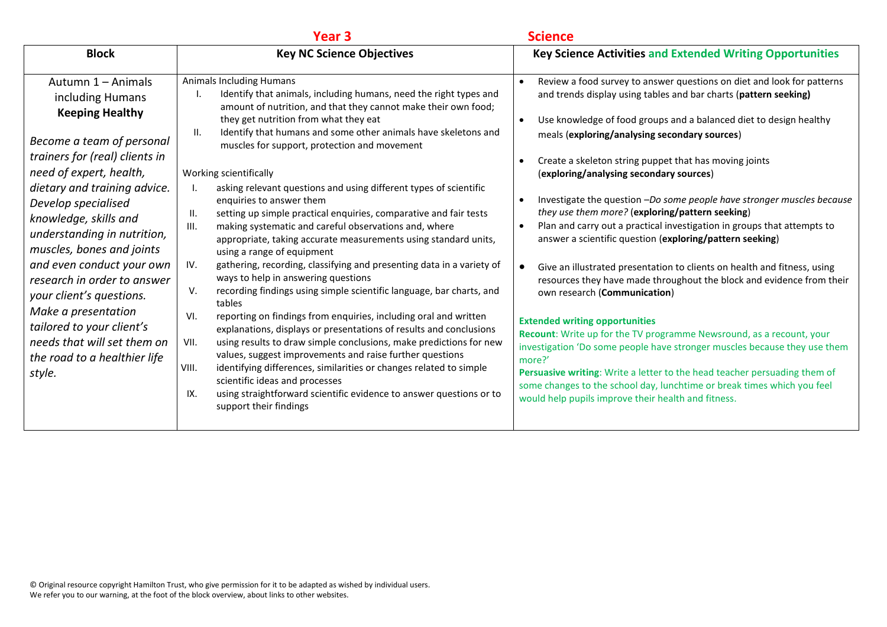|                                                                                                                                                                                                                                                                                                                                                                                                                                                                                                                             | Year <sub>3</sub>                                                                                                                                                                                                                                                                                                                                                                                                                                                                                                                                                                                                                                                                                                                                                                                                                                                                                                                                                                                                                                                                                                                                                                                                                                                                                                                                                                                                                                        | <b>Science</b>                                                                                                                                                                                                                                                                                                                                                                                                                                                                                                                                                                                                                                                                                                                                                                                                                                                                                                                                                                                                                                                                                                                                                                                                                                                                                                          |
|-----------------------------------------------------------------------------------------------------------------------------------------------------------------------------------------------------------------------------------------------------------------------------------------------------------------------------------------------------------------------------------------------------------------------------------------------------------------------------------------------------------------------------|----------------------------------------------------------------------------------------------------------------------------------------------------------------------------------------------------------------------------------------------------------------------------------------------------------------------------------------------------------------------------------------------------------------------------------------------------------------------------------------------------------------------------------------------------------------------------------------------------------------------------------------------------------------------------------------------------------------------------------------------------------------------------------------------------------------------------------------------------------------------------------------------------------------------------------------------------------------------------------------------------------------------------------------------------------------------------------------------------------------------------------------------------------------------------------------------------------------------------------------------------------------------------------------------------------------------------------------------------------------------------------------------------------------------------------------------------------|-------------------------------------------------------------------------------------------------------------------------------------------------------------------------------------------------------------------------------------------------------------------------------------------------------------------------------------------------------------------------------------------------------------------------------------------------------------------------------------------------------------------------------------------------------------------------------------------------------------------------------------------------------------------------------------------------------------------------------------------------------------------------------------------------------------------------------------------------------------------------------------------------------------------------------------------------------------------------------------------------------------------------------------------------------------------------------------------------------------------------------------------------------------------------------------------------------------------------------------------------------------------------------------------------------------------------|
| <b>Block</b>                                                                                                                                                                                                                                                                                                                                                                                                                                                                                                                | <b>Key NC Science Objectives</b>                                                                                                                                                                                                                                                                                                                                                                                                                                                                                                                                                                                                                                                                                                                                                                                                                                                                                                                                                                                                                                                                                                                                                                                                                                                                                                                                                                                                                         | <b>Key Science Activities and Extended Writing Opportunities</b>                                                                                                                                                                                                                                                                                                                                                                                                                                                                                                                                                                                                                                                                                                                                                                                                                                                                                                                                                                                                                                                                                                                                                                                                                                                        |
| Autumn 1 - Animals<br>including Humans<br><b>Keeping Healthy</b><br>Become a team of personal<br>trainers for (real) clients in<br>need of expert, health,<br>dietary and training advice.<br>Develop specialised<br>knowledge, skills and<br>understanding in nutrition,<br>muscles, bones and joints<br>and even conduct your own<br>research in order to answer<br>your client's questions.<br>Make a presentation<br>tailored to your client's<br>needs that will set them on<br>the road to a healthier life<br>style. | <b>Animals Including Humans</b><br>Identify that animals, including humans, need the right types and<br>amount of nutrition, and that they cannot make their own food;<br>they get nutrition from what they eat<br>Identify that humans and some other animals have skeletons and<br>Ш.<br>muscles for support, protection and movement<br>Working scientifically<br>asking relevant questions and using different types of scientific<br>Ι.<br>enquiries to answer them<br>setting up simple practical enquiries, comparative and fair tests<br>Ⅱ.<br>making systematic and careful observations and, where<br>III.<br>appropriate, taking accurate measurements using standard units,<br>using a range of equipment<br>gathering, recording, classifying and presenting data in a variety of<br>IV.<br>ways to help in answering questions<br>recording findings using simple scientific language, bar charts, and<br>V.<br>tables<br>reporting on findings from enquiries, including oral and written<br>VI.<br>explanations, displays or presentations of results and conclusions<br>VII.<br>using results to draw simple conclusions, make predictions for new<br>values, suggest improvements and raise further questions<br>VIII.<br>identifying differences, similarities or changes related to simple<br>scientific ideas and processes<br>using straightforward scientific evidence to answer questions or to<br>IX.<br>support their findings | Review a food survey to answer questions on diet and look for patterns<br>$\bullet$<br>and trends display using tables and bar charts (pattern seeking)<br>Use knowledge of food groups and a balanced diet to design healthy<br>$\bullet$<br>meals (exploring/analysing secondary sources)<br>Create a skeleton string puppet that has moving joints<br>(exploring/analysing secondary sources)<br>Investigate the question -Do some people have stronger muscles because<br>$\bullet$<br>they use them more? (exploring/pattern seeking)<br>Plan and carry out a practical investigation in groups that attempts to<br>$\bullet$<br>answer a scientific question (exploring/pattern seeking)<br>Give an illustrated presentation to clients on health and fitness, using<br>$\bullet$<br>resources they have made throughout the block and evidence from their<br>own research (Communication)<br><b>Extended writing opportunities</b><br>Recount: Write up for the TV programme Newsround, as a recount, your<br>investigation 'Do some people have stronger muscles because they use them<br>more?'<br>Persuasive writing: Write a letter to the head teacher persuading them of<br>some changes to the school day, lunchtime or break times which you feel<br>would help pupils improve their health and fitness. |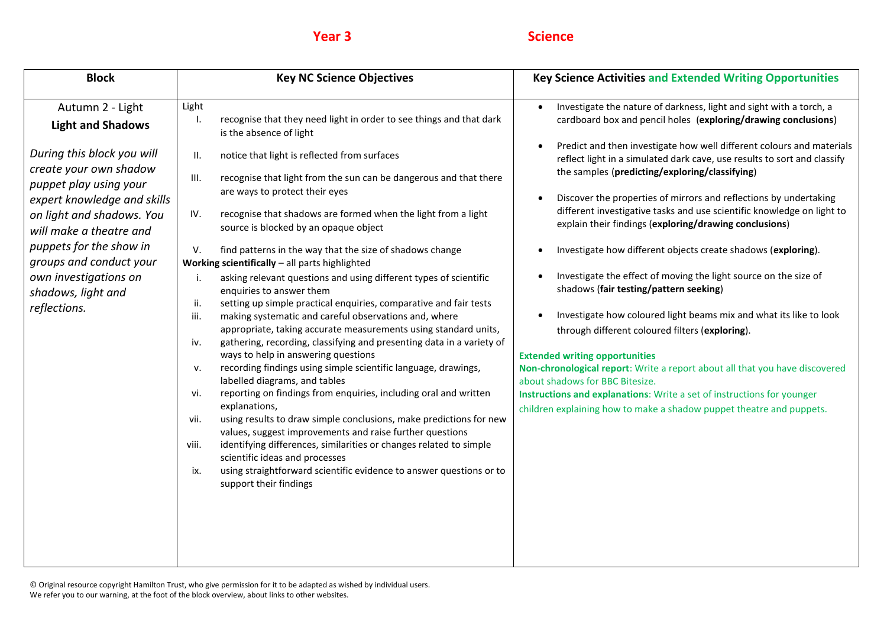| <b>Block</b>                                                                                                                                                                                                                                                                                                                               | <b>Key NC Science Objectives</b>                                                                                                                                                                                                                                                                                                                                                                                                                                                                                                                                                                                                                                                                                                                                                                                                                                                                                                                                                                                                                                                                                                                                                                                                                                                                                                                                                                                                                                                                                                               | <b>Key Science Activities and Extended Writing Opportunities</b>                                                                                                                                                                                                                                                                                                                                                                                                                                                                                                                                                                                                                                                                                                                                                                                                                                                                                                                                                                                                                                                                                                                        |
|--------------------------------------------------------------------------------------------------------------------------------------------------------------------------------------------------------------------------------------------------------------------------------------------------------------------------------------------|------------------------------------------------------------------------------------------------------------------------------------------------------------------------------------------------------------------------------------------------------------------------------------------------------------------------------------------------------------------------------------------------------------------------------------------------------------------------------------------------------------------------------------------------------------------------------------------------------------------------------------------------------------------------------------------------------------------------------------------------------------------------------------------------------------------------------------------------------------------------------------------------------------------------------------------------------------------------------------------------------------------------------------------------------------------------------------------------------------------------------------------------------------------------------------------------------------------------------------------------------------------------------------------------------------------------------------------------------------------------------------------------------------------------------------------------------------------------------------------------------------------------------------------------|-----------------------------------------------------------------------------------------------------------------------------------------------------------------------------------------------------------------------------------------------------------------------------------------------------------------------------------------------------------------------------------------------------------------------------------------------------------------------------------------------------------------------------------------------------------------------------------------------------------------------------------------------------------------------------------------------------------------------------------------------------------------------------------------------------------------------------------------------------------------------------------------------------------------------------------------------------------------------------------------------------------------------------------------------------------------------------------------------------------------------------------------------------------------------------------------|
| Autumn 2 - Light<br><b>Light and Shadows</b><br>During this block you will<br>create your own shadow<br>puppet play using your<br>expert knowledge and skills<br>on light and shadows. You<br>will make a theatre and<br>puppets for the show in<br>groups and conduct your<br>own investigations on<br>shadows, light and<br>reflections. | Light<br>recognise that they need light in order to see things and that dark<br>Ι.<br>is the absence of light<br>notice that light is reflected from surfaces<br>II.<br>recognise that light from the sun can be dangerous and that there<br>III.<br>are ways to protect their eyes<br>recognise that shadows are formed when the light from a light<br>IV.<br>source is blocked by an opaque object<br>find patterns in the way that the size of shadows change<br>V.<br>Working scientifically - all parts highlighted<br>asking relevant questions and using different types of scientific<br>i.<br>enquiries to answer them<br>setting up simple practical enquiries, comparative and fair tests<br>ii.<br>making systematic and careful observations and, where<br>iii.<br>appropriate, taking accurate measurements using standard units,<br>gathering, recording, classifying and presenting data in a variety of<br>iv.<br>ways to help in answering questions<br>recording findings using simple scientific language, drawings,<br>v.<br>labelled diagrams, and tables<br>reporting on findings from enquiries, including oral and written<br>vi.<br>explanations,<br>using results to draw simple conclusions, make predictions for new<br>vii.<br>values, suggest improvements and raise further questions<br>identifying differences, similarities or changes related to simple<br>viii.<br>scientific ideas and processes<br>using straightforward scientific evidence to answer questions or to<br>ix.<br>support their findings | Investigate the nature of darkness, light and sight with a torch, a<br>cardboard box and pencil holes (exploring/drawing conclusions)<br>Predict and then investigate how well different colours and materials<br>$\bullet$<br>reflect light in a simulated dark cave, use results to sort and classify<br>the samples (predicting/exploring/classifying)<br>Discover the properties of mirrors and reflections by undertaking<br>different investigative tasks and use scientific knowledge on light to<br>explain their findings (exploring/drawing conclusions)<br>Investigate how different objects create shadows (exploring).<br>Investigate the effect of moving the light source on the size of<br>shadows (fair testing/pattern seeking)<br>Investigate how coloured light beams mix and what its like to look<br>through different coloured filters (exploring).<br><b>Extended writing opportunities</b><br>Non-chronological report: Write a report about all that you have discovered<br>about shadows for BBC Bitesize.<br>Instructions and explanations: Write a set of instructions for younger<br>children explaining how to make a shadow puppet theatre and puppets. |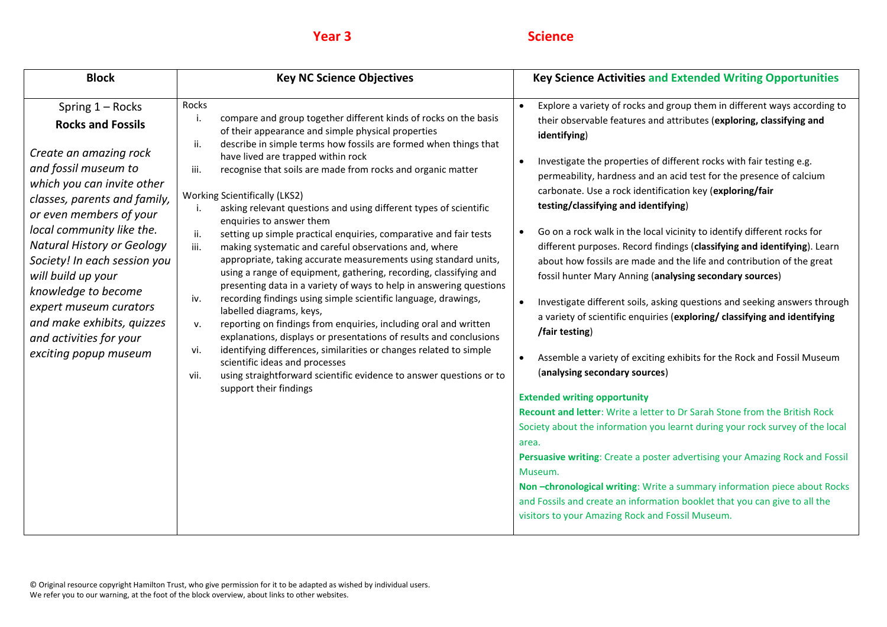| <b>Block</b>                                                                                                                                                                                                                                                                                                                                                                                                                                       | <b>Key NC Science Objectives</b>                                                                                                                                                                                                                                                                                                                                                                                                                                                                                                                                                                                                                                                                                                                                                                                                                                                                                                                                                                                                                                                                                                                                                                                                                                                                                | <b>Key Science Activities and Extended Writing Opportunities</b>                                                                                                                                                                                                                                                                                                                                                                                                                                                                                                                                                                                                                                                                                                                                                                                                                                                                                                                                                                                                                                                                                                                                                                                                                                                                                                                                                                                                                                                                           |
|----------------------------------------------------------------------------------------------------------------------------------------------------------------------------------------------------------------------------------------------------------------------------------------------------------------------------------------------------------------------------------------------------------------------------------------------------|-----------------------------------------------------------------------------------------------------------------------------------------------------------------------------------------------------------------------------------------------------------------------------------------------------------------------------------------------------------------------------------------------------------------------------------------------------------------------------------------------------------------------------------------------------------------------------------------------------------------------------------------------------------------------------------------------------------------------------------------------------------------------------------------------------------------------------------------------------------------------------------------------------------------------------------------------------------------------------------------------------------------------------------------------------------------------------------------------------------------------------------------------------------------------------------------------------------------------------------------------------------------------------------------------------------------|--------------------------------------------------------------------------------------------------------------------------------------------------------------------------------------------------------------------------------------------------------------------------------------------------------------------------------------------------------------------------------------------------------------------------------------------------------------------------------------------------------------------------------------------------------------------------------------------------------------------------------------------------------------------------------------------------------------------------------------------------------------------------------------------------------------------------------------------------------------------------------------------------------------------------------------------------------------------------------------------------------------------------------------------------------------------------------------------------------------------------------------------------------------------------------------------------------------------------------------------------------------------------------------------------------------------------------------------------------------------------------------------------------------------------------------------------------------------------------------------------------------------------------------------|
| Spring 1 - Rocks<br><b>Rocks and Fossils</b><br>Create an amazing rock<br>and fossil museum to<br>which you can invite other<br>classes, parents and family,<br>or even members of your<br>local community like the.<br><b>Natural History or Geology</b><br>Society! In each session you<br>will build up your<br>knowledge to become<br>expert museum curators<br>and make exhibits, quizzes<br>and activities for your<br>exciting popup museum | Rocks<br>compare and group together different kinds of rocks on the basis<br>i.<br>of their appearance and simple physical properties<br>describe in simple terms how fossils are formed when things that<br>ii.<br>have lived are trapped within rock<br>recognise that soils are made from rocks and organic matter<br>iii.<br><b>Working Scientifically (LKS2)</b><br>asking relevant questions and using different types of scientific<br>enquiries to answer them<br>setting up simple practical enquiries, comparative and fair tests<br>ii.<br>iii.<br>making systematic and careful observations and, where<br>appropriate, taking accurate measurements using standard units,<br>using a range of equipment, gathering, recording, classifying and<br>presenting data in a variety of ways to help in answering questions<br>recording findings using simple scientific language, drawings,<br>iv.<br>labelled diagrams, keys,<br>reporting on findings from enquiries, including oral and written<br>v.<br>explanations, displays or presentations of results and conclusions<br>identifying differences, similarities or changes related to simple<br>vi.<br>scientific ideas and processes<br>using straightforward scientific evidence to answer questions or to<br>vii.<br>support their findings | Explore a variety of rocks and group them in different ways according to<br>their observable features and attributes (exploring, classifying and<br>identifying)<br>Investigate the properties of different rocks with fair testing e.g.<br>permeability, hardness and an acid test for the presence of calcium<br>carbonate. Use a rock identification key (exploring/fair<br>testing/classifying and identifying)<br>Go on a rock walk in the local vicinity to identify different rocks for<br>different purposes. Record findings (classifying and identifying). Learn<br>about how fossils are made and the life and contribution of the great<br>fossil hunter Mary Anning (analysing secondary sources)<br>Investigate different soils, asking questions and seeking answers through<br>a variety of scientific enquiries (exploring/ classifying and identifying<br>/fair testing)<br>Assemble a variety of exciting exhibits for the Rock and Fossil Museum<br>$\bullet$<br>(analysing secondary sources)<br><b>Extended writing opportunity</b><br>Recount and letter: Write a letter to Dr Sarah Stone from the British Rock<br>Society about the information you learnt during your rock survey of the local<br>area.<br>Persuasive writing: Create a poster advertising your Amazing Rock and Fossil<br>Museum.<br>Non-chronological writing: Write a summary information piece about Rocks<br>and Fossils and create an information booklet that you can give to all the<br>visitors to your Amazing Rock and Fossil Museum. |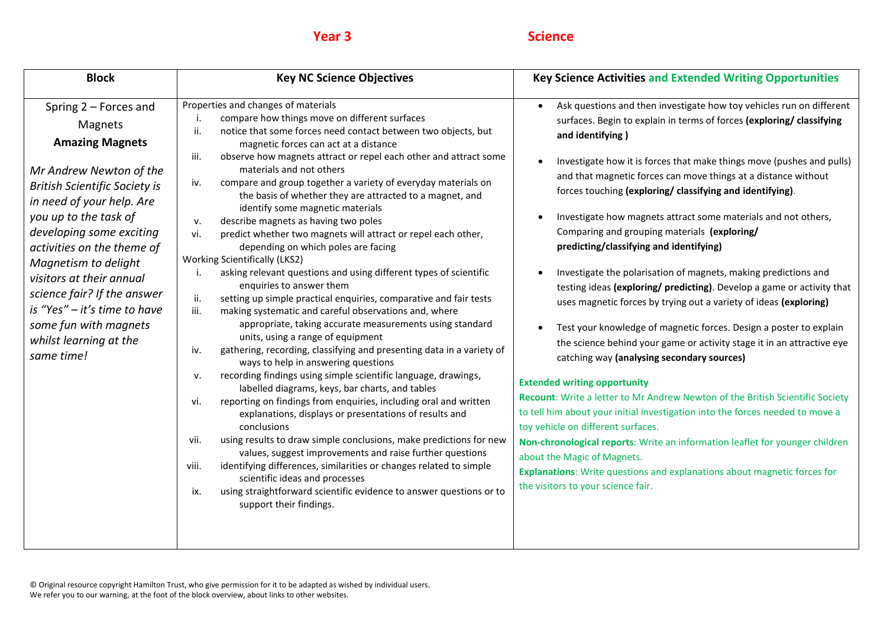| <b>Block</b>                                                                                                                                                                                                                                                                                                                                                                                                                      | <b>Key NC Science Objectives</b>                                                                                                                                                                                                                                                                                                                                                                                                                                                                                                                                                                                                                                                                                                                                                                                                                                                                                                                                                                                                                                                                                                                                                                                                                                                                                                                                                                                                                                                                                                                                                                                                                                                                                                                                                                                    | <b>Key Science Activities and Extended Writing Opportunities</b>                                                                                                                                                                                                                                                                                                                                                                                                                                                                                                                                                                                                                                                                                                                                                                                                                                                                                                                                                                                                                                                                                                                                                                                                                                                                                                                                                                                    |
|-----------------------------------------------------------------------------------------------------------------------------------------------------------------------------------------------------------------------------------------------------------------------------------------------------------------------------------------------------------------------------------------------------------------------------------|---------------------------------------------------------------------------------------------------------------------------------------------------------------------------------------------------------------------------------------------------------------------------------------------------------------------------------------------------------------------------------------------------------------------------------------------------------------------------------------------------------------------------------------------------------------------------------------------------------------------------------------------------------------------------------------------------------------------------------------------------------------------------------------------------------------------------------------------------------------------------------------------------------------------------------------------------------------------------------------------------------------------------------------------------------------------------------------------------------------------------------------------------------------------------------------------------------------------------------------------------------------------------------------------------------------------------------------------------------------------------------------------------------------------------------------------------------------------------------------------------------------------------------------------------------------------------------------------------------------------------------------------------------------------------------------------------------------------------------------------------------------------------------------------------------------------|-----------------------------------------------------------------------------------------------------------------------------------------------------------------------------------------------------------------------------------------------------------------------------------------------------------------------------------------------------------------------------------------------------------------------------------------------------------------------------------------------------------------------------------------------------------------------------------------------------------------------------------------------------------------------------------------------------------------------------------------------------------------------------------------------------------------------------------------------------------------------------------------------------------------------------------------------------------------------------------------------------------------------------------------------------------------------------------------------------------------------------------------------------------------------------------------------------------------------------------------------------------------------------------------------------------------------------------------------------------------------------------------------------------------------------------------------------|
| Spring 2 - Forces and<br>Magnets<br><b>Amazing Magnets</b><br>Mr Andrew Newton of the<br><b>British Scientific Society is</b><br>in need of your help. Are<br>you up to the task of<br>developing some exciting<br>activities on the theme of<br>Magnetism to delight<br>visitors at their annual<br>science fair? If the answer<br>is "Yes" - it's time to have<br>some fun with magnets<br>whilst learning at the<br>same time! | Properties and changes of materials<br>compare how things move on different surfaces<br>notice that some forces need contact between two objects, but<br>ii.<br>magnetic forces can act at a distance<br>observe how magnets attract or repel each other and attract some<br>iii.<br>materials and not others<br>compare and group together a variety of everyday materials on<br>iv.<br>the basis of whether they are attracted to a magnet, and<br>identify some magnetic materials<br>describe magnets as having two poles<br>v.<br>vi.<br>predict whether two magnets will attract or repel each other,<br>depending on which poles are facing<br><b>Working Scientifically (LKS2)</b><br>asking relevant questions and using different types of scientific<br>enquiries to answer them<br>ii.<br>setting up simple practical enquiries, comparative and fair tests<br>iii.<br>making systematic and careful observations and, where<br>appropriate, taking accurate measurements using standard<br>units, using a range of equipment<br>gathering, recording, classifying and presenting data in a variety of<br>iv.<br>ways to help in answering questions<br>recording findings using simple scientific language, drawings,<br>v.<br>labelled diagrams, keys, bar charts, and tables<br>reporting on findings from enquiries, including oral and written<br>vi.<br>explanations, displays or presentations of results and<br>conclusions<br>using results to draw simple conclusions, make predictions for new<br>vii.<br>values, suggest improvements and raise further questions<br>identifying differences, similarities or changes related to simple<br>viii.<br>scientific ideas and processes<br>using straightforward scientific evidence to answer questions or to<br>ix.<br>support their findings. | Ask questions and then investigate how toy vehicles run on different<br>$\bullet$<br>surfaces. Begin to explain in terms of forces (exploring/ classifying<br>and identifying)<br>Investigate how it is forces that make things move (pushes and pulls)<br>and that magnetic forces can move things at a distance without<br>forces touching (exploring/ classifying and identifying).<br>Investigate how magnets attract some materials and not others,<br>Comparing and grouping materials (exploring/<br>predicting/classifying and identifying)<br>Investigate the polarisation of magnets, making predictions and<br>testing ideas (exploring/ predicting). Develop a game or activity that<br>uses magnetic forces by trying out a variety of ideas (exploring)<br>Test your knowledge of magnetic forces. Design a poster to explain<br>the science behind your game or activity stage it in an attractive eye<br>catching way (analysing secondary sources)<br><b>Extended writing opportunity</b><br>Recount: Write a letter to Mr Andrew Newton of the British Scientific Society<br>to tell him about your initial investigation into the forces needed to move a<br>toy vehicle on different surfaces.<br>Non-chronological reports: Write an information leaflet for younger children<br>about the Magic of Magnets.<br>Explanations: Write questions and explanations about magnetic forces for<br>the visitors to your science fair. |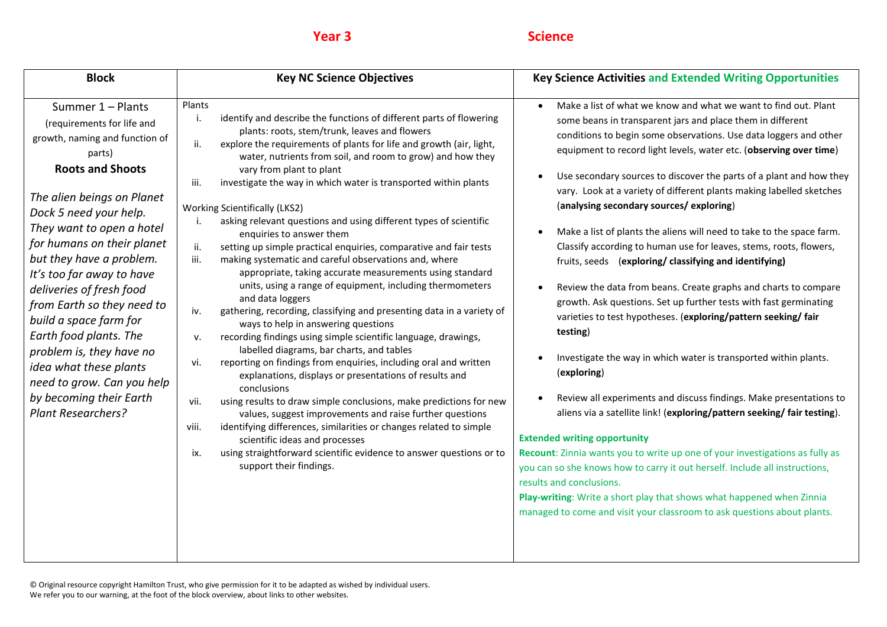| <b>Block</b>                                                                                                                                                                                                                                                                                                                                                                                                                                                                                                                                                 | <b>Key NC Science Objectives</b>                                                                                                                                                                                                                                                                                                                                                                                                                                                                                                                                                                                                                                                                                                                                                                                                                                                                                                                                                                                                                                                                                                                                                                                                                                                                                                                                                                                                                                                                                                                                                               | <b>Key Science Activities and Extended Writing Opportunities</b>                                                                                                                                                                                                                                                                                                                                                                                                                                                                                                                                                                                                                                                                                                                                                                                                                                                                                                                                                                                                                                                                                                                                                                                                                                                                                                                                                                                                                                                                                                               |
|--------------------------------------------------------------------------------------------------------------------------------------------------------------------------------------------------------------------------------------------------------------------------------------------------------------------------------------------------------------------------------------------------------------------------------------------------------------------------------------------------------------------------------------------------------------|------------------------------------------------------------------------------------------------------------------------------------------------------------------------------------------------------------------------------------------------------------------------------------------------------------------------------------------------------------------------------------------------------------------------------------------------------------------------------------------------------------------------------------------------------------------------------------------------------------------------------------------------------------------------------------------------------------------------------------------------------------------------------------------------------------------------------------------------------------------------------------------------------------------------------------------------------------------------------------------------------------------------------------------------------------------------------------------------------------------------------------------------------------------------------------------------------------------------------------------------------------------------------------------------------------------------------------------------------------------------------------------------------------------------------------------------------------------------------------------------------------------------------------------------------------------------------------------------|--------------------------------------------------------------------------------------------------------------------------------------------------------------------------------------------------------------------------------------------------------------------------------------------------------------------------------------------------------------------------------------------------------------------------------------------------------------------------------------------------------------------------------------------------------------------------------------------------------------------------------------------------------------------------------------------------------------------------------------------------------------------------------------------------------------------------------------------------------------------------------------------------------------------------------------------------------------------------------------------------------------------------------------------------------------------------------------------------------------------------------------------------------------------------------------------------------------------------------------------------------------------------------------------------------------------------------------------------------------------------------------------------------------------------------------------------------------------------------------------------------------------------------------------------------------------------------|
| Summer 1 - Plants<br>(requirements for life and<br>growth, naming and function of<br>parts)<br><b>Roots and Shoots</b><br>The alien beings on Planet<br>Dock 5 need your help.<br>They want to open a hotel<br>for humans on their planet<br>but they have a problem.<br>It's too far away to have<br>deliveries of fresh food<br>from Earth so they need to<br>build a space farm for<br>Earth food plants. The<br>problem is, they have no<br>idea what these plants<br>need to grow. Can you help<br>by becoming their Earth<br><b>Plant Researchers?</b> | Plants<br>identify and describe the functions of different parts of flowering<br>i.<br>plants: roots, stem/trunk, leaves and flowers<br>explore the requirements of plants for life and growth (air, light,<br>ii.<br>water, nutrients from soil, and room to grow) and how they<br>vary from plant to plant<br>investigate the way in which water is transported within plants<br>iii.<br><b>Working Scientifically (LKS2)</b><br>asking relevant questions and using different types of scientific<br>enquiries to answer them<br>setting up simple practical enquiries, comparative and fair tests<br>ii.<br>making systematic and careful observations and, where<br>iii.<br>appropriate, taking accurate measurements using standard<br>units, using a range of equipment, including thermometers<br>and data loggers<br>gathering, recording, classifying and presenting data in a variety of<br>iv.<br>ways to help in answering questions<br>recording findings using simple scientific language, drawings,<br>v.<br>labelled diagrams, bar charts, and tables<br>reporting on findings from enquiries, including oral and written<br>vi.<br>explanations, displays or presentations of results and<br>conclusions<br>using results to draw simple conclusions, make predictions for new<br>vii.<br>values, suggest improvements and raise further questions<br>identifying differences, similarities or changes related to simple<br>viii.<br>scientific ideas and processes<br>using straightforward scientific evidence to answer questions or to<br>ix.<br>support their findings. | Make a list of what we know and what we want to find out. Plant<br>some beans in transparent jars and place them in different<br>conditions to begin some observations. Use data loggers and other<br>equipment to record light levels, water etc. (observing over time)<br>Use secondary sources to discover the parts of a plant and how they<br>$\bullet$<br>vary. Look at a variety of different plants making labelled sketches<br>(analysing secondary sources/exploring)<br>Make a list of plants the aliens will need to take to the space farm.<br>$\bullet$<br>Classify according to human use for leaves, stems, roots, flowers,<br>fruits, seeds (exploring/classifying and identifying)<br>Review the data from beans. Create graphs and charts to compare<br>$\bullet$<br>growth. Ask questions. Set up further tests with fast germinating<br>varieties to test hypotheses. (exploring/pattern seeking/ fair<br>testing)<br>Investigate the way in which water is transported within plants.<br>(exploring)<br>Review all experiments and discuss findings. Make presentations to<br>$\bullet$<br>aliens via a satellite link! (exploring/pattern seeking/ fair testing).<br><b>Extended writing opportunity</b><br>Recount: Zinnia wants you to write up one of your investigations as fully as<br>you can so she knows how to carry it out herself. Include all instructions,<br>results and conclusions.<br>Play-writing: Write a short play that shows what happened when Zinnia<br>managed to come and visit your classroom to ask questions about plants. |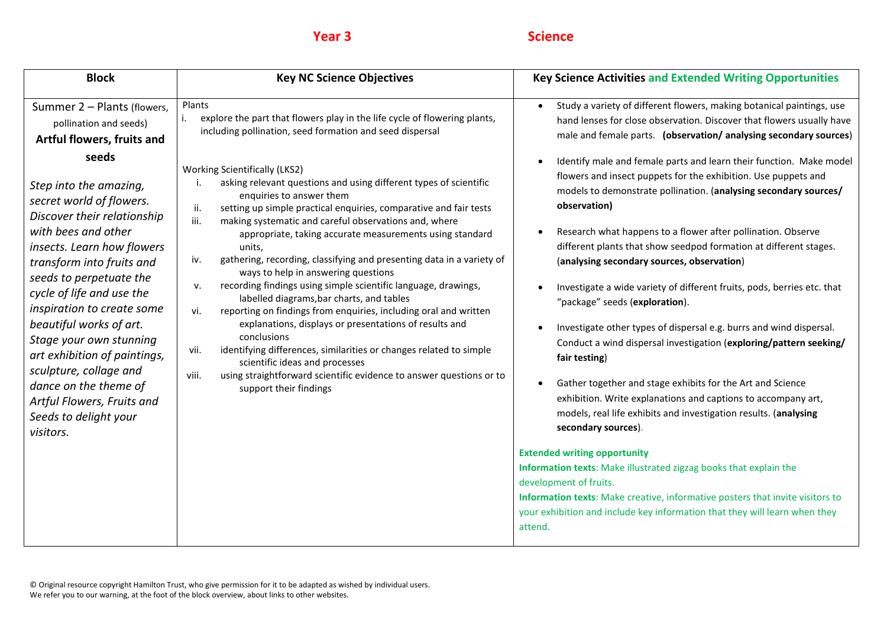| <b>Block</b>                                                                                                                                                                                                                                                                                                                                                                                                                                                                                                                                                           | <b>Key NC Science Objectives</b>                                                                                                                                                                                                                                                                                                                                                                                                                                                                                                                                                                                                                                                                                                                                                                                                                                                                                                                                                                                                                                                                                                            | <b>Key Science Activities and Extended Writing Opportunities</b>                                                                                                                                                                                                                                                                                                                                                                                                                                                                                                                                                                                                                                                                                                                                                                                                                                                                                                                                                                                                                                                                                                                                                                                                                                                                                                                                                                                                                                                         |
|------------------------------------------------------------------------------------------------------------------------------------------------------------------------------------------------------------------------------------------------------------------------------------------------------------------------------------------------------------------------------------------------------------------------------------------------------------------------------------------------------------------------------------------------------------------------|---------------------------------------------------------------------------------------------------------------------------------------------------------------------------------------------------------------------------------------------------------------------------------------------------------------------------------------------------------------------------------------------------------------------------------------------------------------------------------------------------------------------------------------------------------------------------------------------------------------------------------------------------------------------------------------------------------------------------------------------------------------------------------------------------------------------------------------------------------------------------------------------------------------------------------------------------------------------------------------------------------------------------------------------------------------------------------------------------------------------------------------------|--------------------------------------------------------------------------------------------------------------------------------------------------------------------------------------------------------------------------------------------------------------------------------------------------------------------------------------------------------------------------------------------------------------------------------------------------------------------------------------------------------------------------------------------------------------------------------------------------------------------------------------------------------------------------------------------------------------------------------------------------------------------------------------------------------------------------------------------------------------------------------------------------------------------------------------------------------------------------------------------------------------------------------------------------------------------------------------------------------------------------------------------------------------------------------------------------------------------------------------------------------------------------------------------------------------------------------------------------------------------------------------------------------------------------------------------------------------------------------------------------------------------------|
| Summer 2 - Plants (flowers,<br>pollination and seeds)<br>Artful flowers, fruits and<br>seeds<br>Step into the amazing,<br>secret world of flowers.<br>Discover their relationship<br>with bees and other<br>insects. Learn how flowers<br>transform into fruits and<br>seeds to perpetuate the<br>cycle of life and use the<br>inspiration to create some<br>beautiful works of art.<br>Stage your own stunning<br>art exhibition of paintings,<br>sculpture, collage and<br>dance on the theme of<br>Artful Flowers, Fruits and<br>Seeds to delight your<br>visitors. | Plants<br>explore the part that flowers play in the life cycle of flowering plants,<br>i.<br>including pollination, seed formation and seed dispersal<br><b>Working Scientifically (LKS2)</b><br>asking relevant questions and using different types of scientific<br>enquiries to answer them<br>setting up simple practical enquiries, comparative and fair tests<br>ii.<br>making systematic and careful observations and, where<br>iii.<br>appropriate, taking accurate measurements using standard<br>units,<br>gathering, recording, classifying and presenting data in a variety of<br>iv.<br>ways to help in answering questions<br>recording findings using simple scientific language, drawings,<br>ν.<br>labelled diagrams, bar charts, and tables<br>reporting on findings from enquiries, including oral and written<br>vi.<br>explanations, displays or presentations of results and<br>conclusions<br>identifying differences, similarities or changes related to simple<br>vii.<br>scientific ideas and processes<br>viii.<br>using straightforward scientific evidence to answer questions or to<br>support their findings | Study a variety of different flowers, making botanical paintings, use<br>$\bullet$<br>hand lenses for close observation. Discover that flowers usually have<br>male and female parts. (observation/analysing secondary sources)<br>Identify male and female parts and learn their function. Make model<br>$\bullet$<br>flowers and insect puppets for the exhibition. Use puppets and<br>models to demonstrate pollination. (analysing secondary sources/<br>observation)<br>Research what happens to a flower after pollination. Observe<br>$\bullet$<br>different plants that show seedpod formation at different stages.<br>(analysing secondary sources, observation)<br>Investigate a wide variety of different fruits, pods, berries etc. that<br>"package" seeds (exploration).<br>Investigate other types of dispersal e.g. burrs and wind dispersal.<br>$\bullet$<br>Conduct a wind dispersal investigation (exploring/pattern seeking/<br>fair testing)<br>Gather together and stage exhibits for the Art and Science<br>$\bullet$<br>exhibition. Write explanations and captions to accompany art,<br>models, real life exhibits and investigation results. (analysing<br>secondary sources).<br><b>Extended writing opportunity</b><br>Information texts: Make illustrated zigzag books that explain the<br>development of fruits.<br>Information texts: Make creative, informative posters that invite visitors to<br>your exhibition and include key information that they will learn when they<br>attend. |